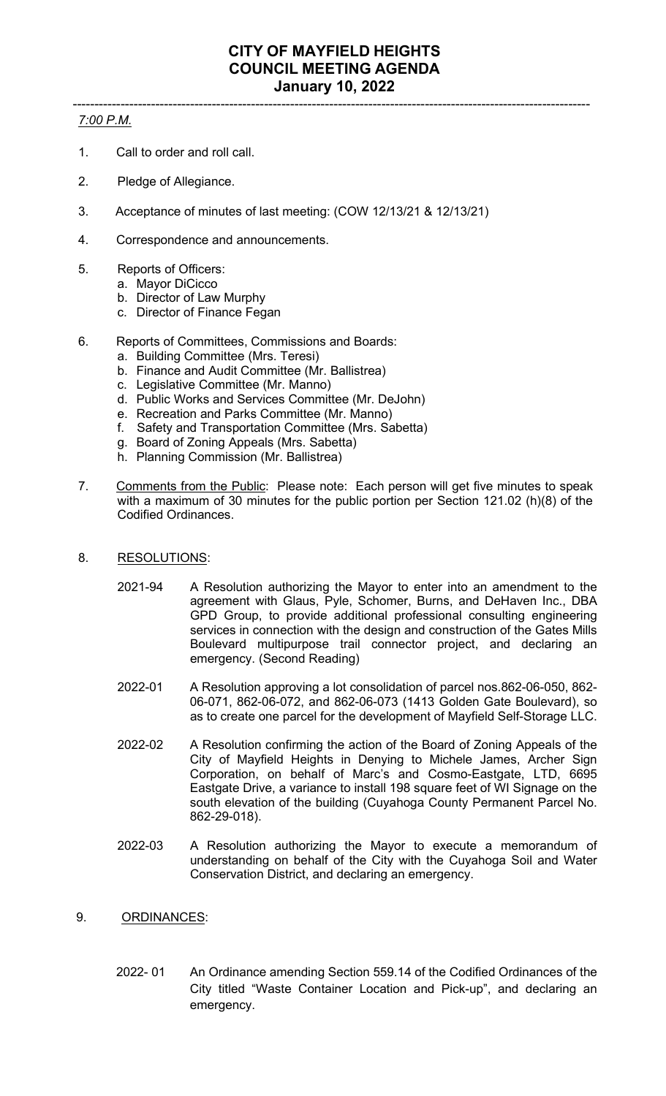## ----------------------------------------------------------------------------------------------------------------------- *7:00 P.M.*

- 1. Call to order and roll call.
- 2. Pledge of Allegiance.
- 3. Acceptance of minutes of last meeting: (COW 12/13/21 & 12/13/21)
- 4. Correspondence and announcements.
- 5. Reports of Officers:
	- a. Mayor DiCicco
	- b. Director of Law Murphy
	- c. Director of Finance Fegan
- 6. Reports of Committees, Commissions and Boards:
	- a. Building Committee (Mrs. Teresi)
	- b. Finance and Audit Committee (Mr. Ballistrea)
	- c. Legislative Committee (Mr. Manno)
	- d. Public Works and Services Committee (Mr. DeJohn)
	- e. Recreation and Parks Committee (Mr. Manno)
	- f. Safety and Transportation Committee (Mrs. Sabetta)
	- g. Board of Zoning Appeals (Mrs. Sabetta)
	- h. Planning Commission (Mr. Ballistrea)
- 7. Comments from the Public: Please note: Each person will get five minutes to speak with a maximum of 30 minutes for the public portion per Section 121.02 (h)(8) of the Codified Ordinances.
- 8. RESOLUTIONS:
	- 2021-94 A Resolution authorizing the Mayor to enter into an amendment to the agreement with Glaus, Pyle, Schomer, Burns, and DeHaven Inc., DBA GPD Group, to provide additional professional consulting engineering services in connection with the design and construction of the Gates Mills Boulevard multipurpose trail connector project, and declaring an emergency. (Second Reading)
	- 2022-01 A Resolution approving a lot consolidation of parcel nos.862-06-050, 862- 06-071, 862-06-072, and 862-06-073 (1413 Golden Gate Boulevard), so as to create one parcel for the development of Mayfield Self-Storage LLC.
	- 2022-02 A Resolution confirming the action of the Board of Zoning Appeals of the City of Mayfield Heights in Denying to Michele James, Archer Sign Corporation, on behalf of Marc's and Cosmo-Eastgate, LTD, 6695 Eastgate Drive, a variance to install 198 square feet of WI Signage on the south elevation of the building (Cuyahoga County Permanent Parcel No. 862-29-018).
	- 2022-03 A Resolution authorizing the Mayor to execute a memorandum of understanding on behalf of the City with the Cuyahoga Soil and Water Conservation District, and declaring an emergency.
- 9. ORDINANCES:
	- 2022- 01 An Ordinance amending Section 559.14 of the Codified Ordinances of the City titled "Waste Container Location and Pick-up", and declaring an emergency.